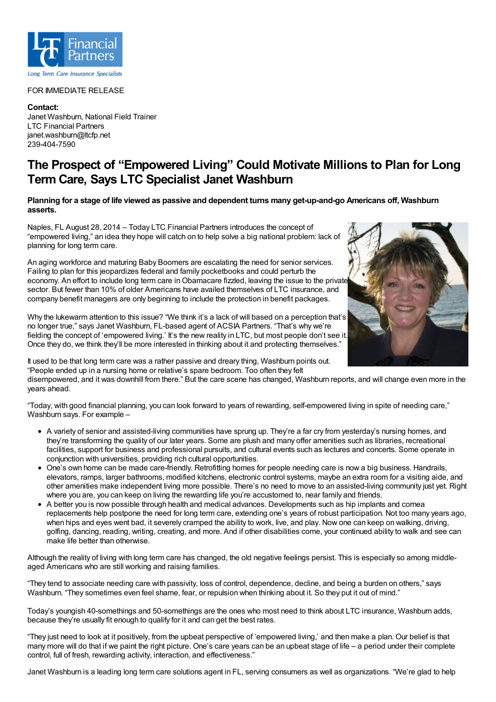

## FOR IMMEDIATE RELEASE

**Contact:** Janet Washburn, National Field Trainer LTC Financial Partners janet.washburn@ltcfp.net 239-404-7590

## **The Prospect of "Empowered Living" Could Motivate Millions to Plan for Long Term Care, Says LTC Specialist Janet Washburn**

## Planning for a stage of life viewed as passive and dependent turns many get-up-and-go Americans off, Washburn **asserts.**

Naples, FL August 28, 2014 – Today LTC Financial Partners introduces the concept of "empowered living," an idea they hope will catch on to help solve a big national problem: lack of planning for long term care.

An aging workforce and maturing Baby Boomers are escalating the need for senior services. Failing to plan for this jeopardizes federal and family pocketbooks and could perturb the economy. An effort to include long term care in Obamacare fizzled, leaving the issue to the private sector. But fewer than 10% of older Americans have availed themselves of LTC insurance, and company benefit managers are only beginning to include the protection in benefit packages.

Why the lukewarm attention to this issue? "We think it's a lack of will based on a perception that's no longer true," says Janet Washburn, FL-based agent of ACSIA Partners. "That's why we're fielding the concept of 'empowered living.' It's the new reality in LTC, but most people don't see it. Once they do, we think they'll be more interested in thinking about it and protecting themselves."

It used to be that long term care was a rather passive and dreary thing, Washburn points out. "People ended up in a nursing home or relative's spare bedroom. Too often they felt

disempowered, and it was downhill from there." But the care scene has changed, Washburn reports, and will change even more in the years ahead.

"Today, with good financial planning, you can look forward to years of rewarding, self-empowered living in spite of needing care," Washburn says. For example –

- A variety of senior and assisted-living communities have sprung up. They're a far cry from yesterday's nursing homes, and they're transforming the quality of our later years. Some are plush and many offer amenities such as libraries, recreational facilities, support for business and professional pursuits, and cultural events such as lectures and concerts. Some operate in conjunction with universities, providing rich cultural opportunities.
- One's own home can be made care-friendly. Retrofitting homes for people needing care is now a big business. Handrails, elevators, ramps, larger bathrooms, modified kitchens, electronic control systems, maybe an extra room for a visiting aide, and other amenities make independent living more possible. There's no need to move to an assisted-living community just yet. Right where you are, you can keep on living the rewarding life you're accustomed to, near family and friends.
- A better you is now possible through health and medical advances. Developments such as hip implants and cornea replacements help postpone the need for long term care, extending one's years of robust participation. Not too many years ago, when hips and eyes went bad, it severely cramped the ability to work, live, and play. Now one can keep on walking, driving, golfing, dancing, reading, writing, creating, and more. And if other disabilities come, your continued ability to walk and see can make life better than otherwise.

Although the reality of living with long term care has changed, the old negative feelings persist. This is especially so among middleaged Americans who are still working and raising families.

"They tend to associate needing care with passivity, loss of control, dependence, decline, and being a burden on others," says Washburn. "They sometimes even feel shame, fear, or repulsion when thinking about it. So they put it out of mind."

Today's youngish 40-somethings and 50-somethings are the ones who most need to think about LTC insurance, Washburn adds, because they're usually fit enough to qualify for it and can get the best rates.

"They just need to look at it positively, from the upbeat perspective of 'empowered living,' and then make a plan. Our belief is that many more will do that if we paint the right picture. One's care years can be an upbeat stage of life – a period under their complete control, full of fresh, rewarding activity, interaction, and effectiveness."

Janet Washburn is a leading long term care solutions agent in FL, serving consumers as well as organizations. "We're glad to help